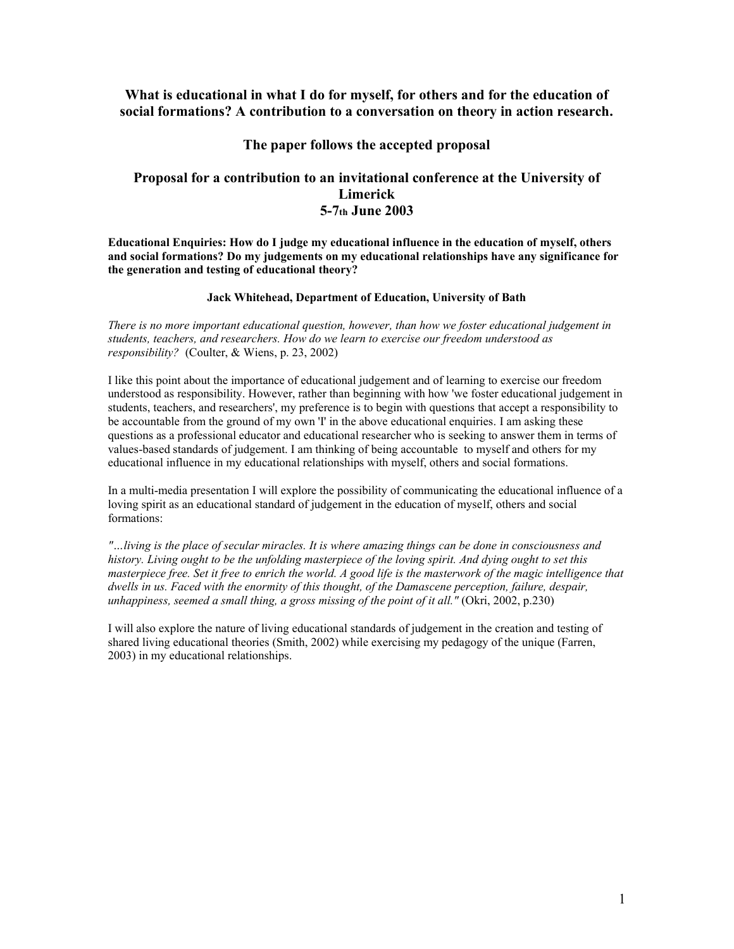#### **What is educational in what I do for myself, for others and for the education of social formations? A contribution to a conversation on theory in action research.**

#### **The paper follows the accepted proposal**

#### **Proposal for a contribution to an invitational conference at the University of Limerick 5-7th June 2003**

**Educational Enquiries: How do I judge my educational influence in the education of myself, others and social formations? Do my judgements on my educational relationships have any significance for the generation and testing of educational theory?**

#### **Jack Whitehead, Department of Education, University of Bath**

*There is no more important educational question, however, than how we foster educational judgement in students, teachers, and researchers. How do we learn to exercise our freedom understood as responsibility?* (Coulter, & Wiens, p. 23, 2002)

I like this point about the importance of educational judgement and of learning to exercise our freedom understood as responsibility. However, rather than beginning with how 'we foster educational judgement in students, teachers, and researchers', my preference is to begin with questions that accept a responsibility to be accountable from the ground of my own 'I' in the above educational enquiries. I am asking these questions as a professional educator and educational researcher who is seeking to answer them in terms of values-based standards of judgement. I am thinking of being accountable to myself and others for my educational influence in my educational relationships with myself, others and social formations.

In a multi-media presentation I will explore the possibility of communicating the educational influence of a loving spirit as an educational standard of judgement in the education of myself, others and social formations:

*"…living is the place of secular miracles. It is where amazing things can be done in consciousness and history. Living ought to be the unfolding masterpiece of the loving spirit. And dying ought to set this masterpiece free. Set it free to enrich the world. A good life is the masterwork of the magic intelligence that dwells in us. Faced with the enormity of this thought, of the Damascene perception, failure, despair, unhappiness, seemed a small thing, a gross missing of the point of it all."* (Okri, 2002, p.230)

I will also explore the nature of living educational standards of judgement in the creation and testing of shared living educational theories (Smith, 2002) while exercising my pedagogy of the unique (Farren, 2003) in my educational relationships.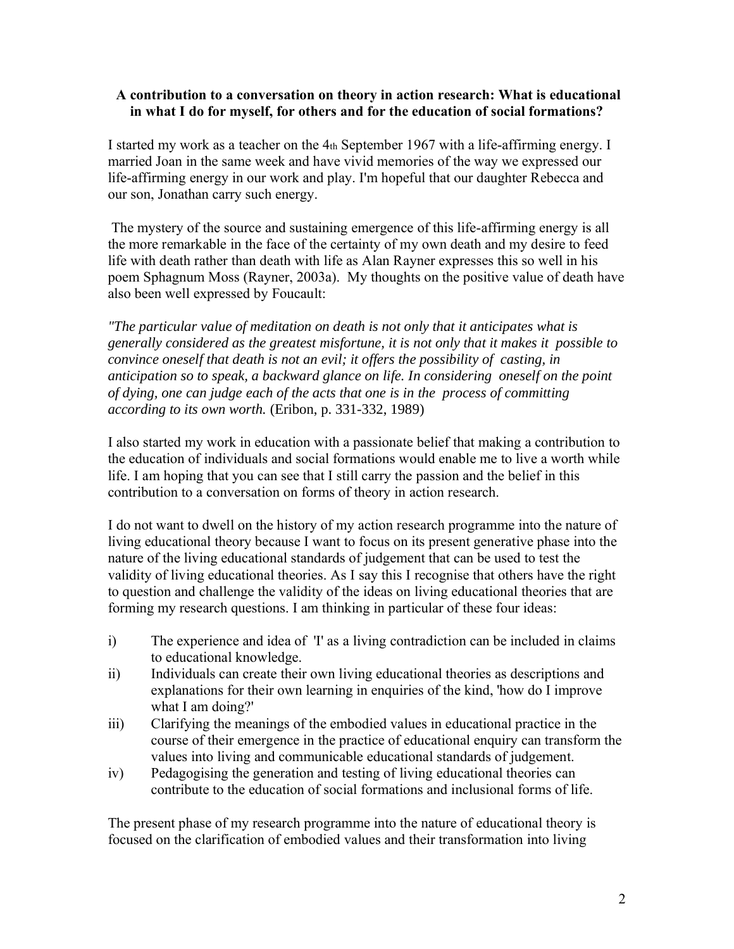## **A contribution to a conversation on theory in action research: What is educational in what I do for myself, for others and for the education of social formations?**

I started my work as a teacher on the 4th September 1967 with a life-affirming energy. I married Joan in the same week and have vivid memories of the way we expressed our life-affirming energy in our work and play. I'm hopeful that our daughter Rebecca and our son, Jonathan carry such energy.

The mystery of the source and sustaining emergence of this life-affirming energy is all the more remarkable in the face of the certainty of my own death and my desire to feed life with death rather than death with life as Alan Rayner expresses this so well in his poem Sphagnum Moss (Rayner, 2003a). My thoughts on the positive value of death have also been well expressed by Foucault:

*"The particular value of meditation on death is not only that it anticipates what is generally considered as the greatest misfortune, it is not only that it makes it possible to convince oneself that death is not an evil; it offers the possibility of casting, in anticipation so to speak, a backward glance on life. In considering oneself on the point of dying, one can judge each of the acts that one is in the process of committing according to its own worth.* (Eribon, p. 331-332, 1989)

I also started my work in education with a passionate belief that making a contribution to the education of individuals and social formations would enable me to live a worth while life. I am hoping that you can see that I still carry the passion and the belief in this contribution to a conversation on forms of theory in action research.

I do not want to dwell on the history of my action research programme into the nature of living educational theory because I want to focus on its present generative phase into the nature of the living educational standards of judgement that can be used to test the validity of living educational theories. As I say this I recognise that others have the right to question and challenge the validity of the ideas on living educational theories that are forming my research questions. I am thinking in particular of these four ideas:

- i) The experience and idea of 'I' as a living contradiction can be included in claims to educational knowledge.
- ii) Individuals can create their own living educational theories as descriptions and explanations for their own learning in enquiries of the kind, 'how do I improve what I am doing?'
- iii) Clarifying the meanings of the embodied values in educational practice in the course of their emergence in the practice of educational enquiry can transform the values into living and communicable educational standards of judgement.
- iv) Pedagogising the generation and testing of living educational theories can contribute to the education of social formations and inclusional forms of life.

The present phase of my research programme into the nature of educational theory is focused on the clarification of embodied values and their transformation into living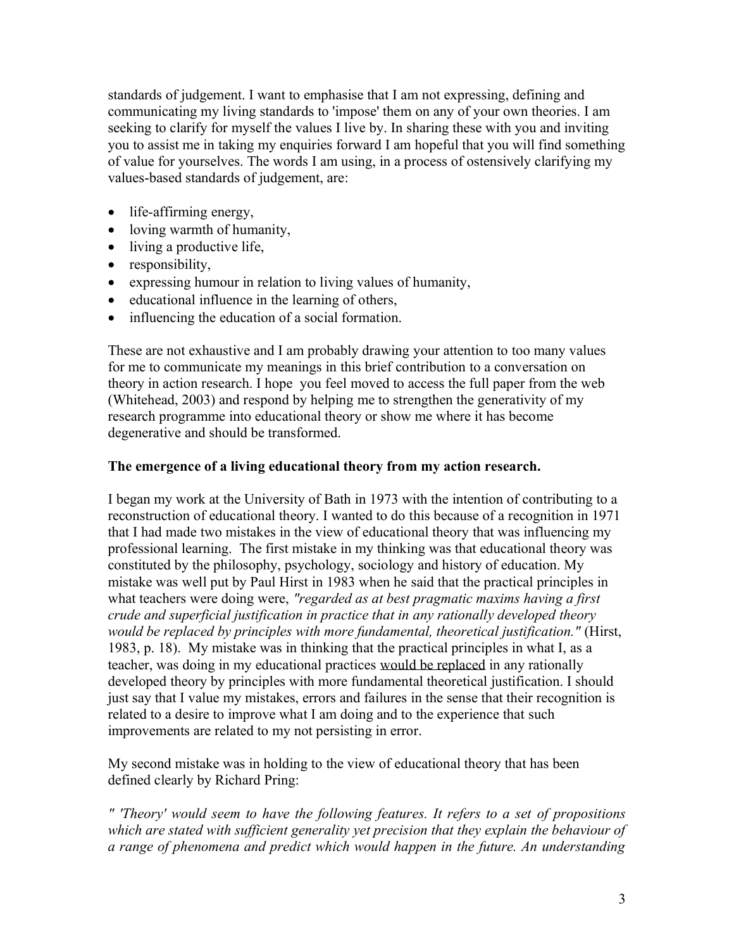standards of judgement. I want to emphasise that I am not expressing, defining and communicating my living standards to 'impose' them on any of your own theories. I am seeking to clarify for myself the values I live by. In sharing these with you and inviting you to assist me in taking my enquiries forward I am hopeful that you will find something of value for yourselves. The words I am using, in a process of ostensively clarifying my values-based standards of judgement, are:

- life-affirming energy,
- loving warmth of humanity,
- living a productive life,
- responsibility,
- expressing humour in relation to living values of humanity,
- educational influence in the learning of others,
- influencing the education of a social formation.

These are not exhaustive and I am probably drawing your attention to too many values for me to communicate my meanings in this brief contribution to a conversation on theory in action research. I hope you feel moved to access the full paper from the web (Whitehead, 2003) and respond by helping me to strengthen the generativity of my research programme into educational theory or show me where it has become degenerative and should be transformed.

# **The emergence of a living educational theory from my action research.**

I began my work at the University of Bath in 1973 with the intention of contributing to a reconstruction of educational theory. I wanted to do this because of a recognition in 1971 that I had made two mistakes in the view of educational theory that was influencing my professional learning. The first mistake in my thinking was that educational theory was constituted by the philosophy, psychology, sociology and history of education. My mistake was well put by Paul Hirst in 1983 when he said that the practical principles in what teachers were doing were, *"regarded as at best pragmatic maxims having a first crude and superficial justification in practice that in any rationally developed theory would be replaced by principles with more fundamental, theoretical justification."* (Hirst, 1983, p. 18). My mistake was in thinking that the practical principles in what I, as a teacher, was doing in my educational practices would be replaced in any rationally developed theory by principles with more fundamental theoretical justification. I should just say that I value my mistakes, errors and failures in the sense that their recognition is related to a desire to improve what I am doing and to the experience that such improvements are related to my not persisting in error.

My second mistake was in holding to the view of educational theory that has been defined clearly by Richard Pring:

*" 'Theory' would seem to have the following features. It refers to a set of propositions which are stated with sufficient generality yet precision that they explain the behaviour of a range of phenomena and predict which would happen in the future. An understanding*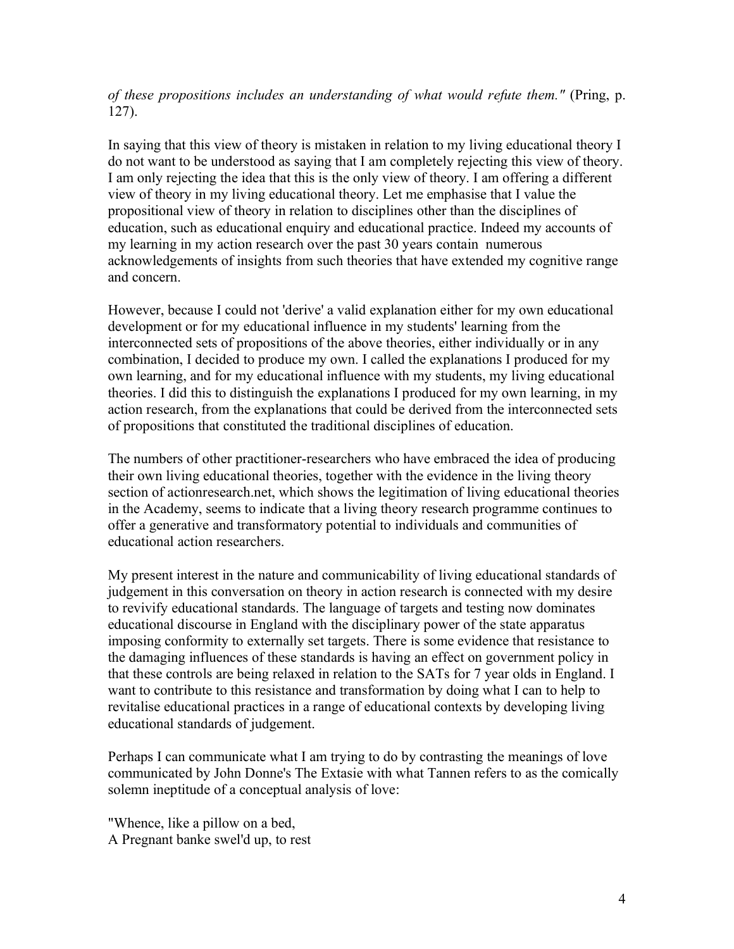*of these propositions includes an understanding of what would refute them."* (Pring, p. 127).

In saying that this view of theory is mistaken in relation to my living educational theory I do not want to be understood as saying that I am completely rejecting this view of theory. I am only rejecting the idea that this is the only view of theory. I am offering a different view of theory in my living educational theory. Let me emphasise that I value the propositional view of theory in relation to disciplines other than the disciplines of education, such as educational enquiry and educational practice. Indeed my accounts of my learning in my action research over the past 30 years contain numerous acknowledgements of insights from such theories that have extended my cognitive range and concern.

However, because I could not 'derive' a valid explanation either for my own educational development or for my educational influence in my students' learning from the interconnected sets of propositions of the above theories, either individually or in any combination, I decided to produce my own. I called the explanations I produced for my own learning, and for my educational influence with my students, my living educational theories. I did this to distinguish the explanations I produced for my own learning, in my action research, from the explanations that could be derived from the interconnected sets of propositions that constituted the traditional disciplines of education.

The numbers of other practitioner-researchers who have embraced the idea of producing their own living educational theories, together with the evidence in the living theory section of actionresearch.net, which shows the legitimation of living educational theories in the Academy, seems to indicate that a living theory research programme continues to offer a generative and transformatory potential to individuals and communities of educational action researchers.

My present interest in the nature and communicability of living educational standards of judgement in this conversation on theory in action research is connected with my desire to revivify educational standards. The language of targets and testing now dominates educational discourse in England with the disciplinary power of the state apparatus imposing conformity to externally set targets. There is some evidence that resistance to the damaging influences of these standards is having an effect on government policy in that these controls are being relaxed in relation to the SATs for 7 year olds in England. I want to contribute to this resistance and transformation by doing what I can to help to revitalise educational practices in a range of educational contexts by developing living educational standards of judgement.

Perhaps I can communicate what I am trying to do by contrasting the meanings of love communicated by John Donne's The Extasie with what Tannen refers to as the comically solemn ineptitude of a conceptual analysis of love:

"Whence, like a pillow on a bed, A Pregnant banke swel'd up, to rest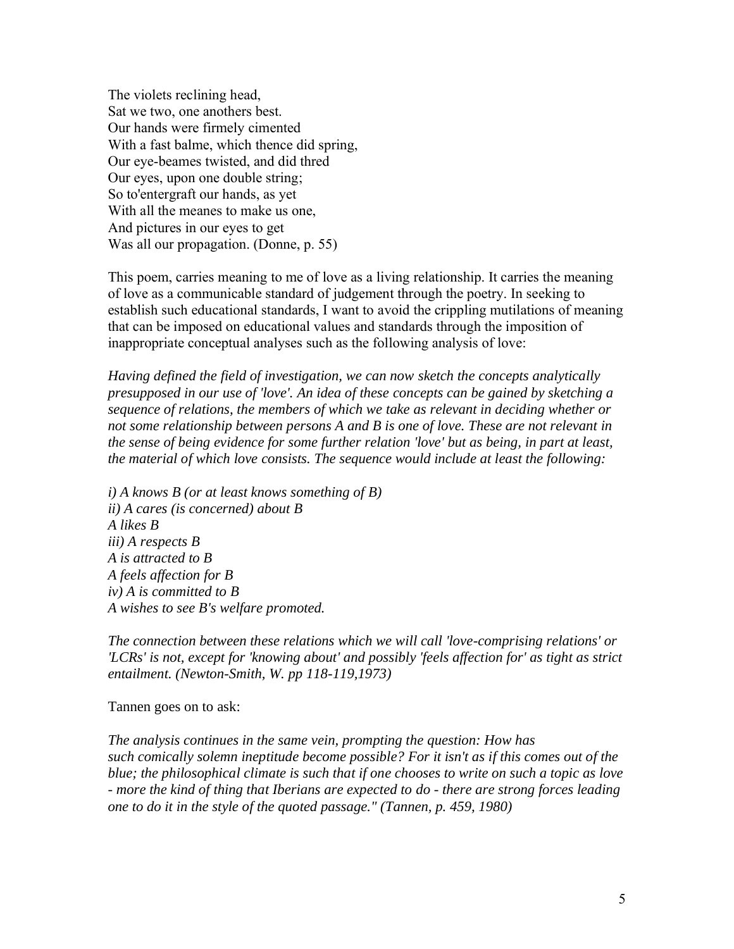The violets reclining head, Sat we two, one anothers best. Our hands were firmely cimented With a fast balme, which thence did spring, Our eye-beames twisted, and did thred Our eyes, upon one double string; So to'entergraft our hands, as yet With all the meanes to make us one, And pictures in our eyes to get Was all our propagation. (Donne, p. 55)

This poem, carries meaning to me of love as a living relationship. It carries the meaning of love as a communicable standard of judgement through the poetry. In seeking to establish such educational standards, I want to avoid the crippling mutilations of meaning that can be imposed on educational values and standards through the imposition of inappropriate conceptual analyses such as the following analysis of love:

*Having defined the field of investigation, we can now sketch the concepts analytically presupposed in our use of 'love'. An idea of these concepts can be gained by sketching a sequence of relations, the members of which we take as relevant in deciding whether or not some relationship between persons A and B is one of love. These are not relevant in the sense of being evidence for some further relation 'love' but as being, in part at least, the material of which love consists. The sequence would include at least the following:*

*i) A knows B (or at least knows something of B) ii) A cares (is concerned) about B A likes B iii) A respects B A is attracted to B A feels affection for B iv) A is committed to B A wishes to see B's welfare promoted.*

*The connection between these relations which we will call 'love-comprising relations' or 'LCRs' is not, except for 'knowing about' and possibly 'feels affection for' as tight as strict entailment. (Newton-Smith, W. pp 118-119,1973)*

Tannen goes on to ask:

*The analysis continues in the same vein, prompting the question: How has such comically solemn ineptitude become possible? For it isn't as if this comes out of the blue; the philosophical climate is such that if one chooses to write on such a topic as love - more the kind of thing that Iberians are expected to do - there are strong forces leading one to do it in the style of the quoted passage." (Tannen, p. 459, 1980)*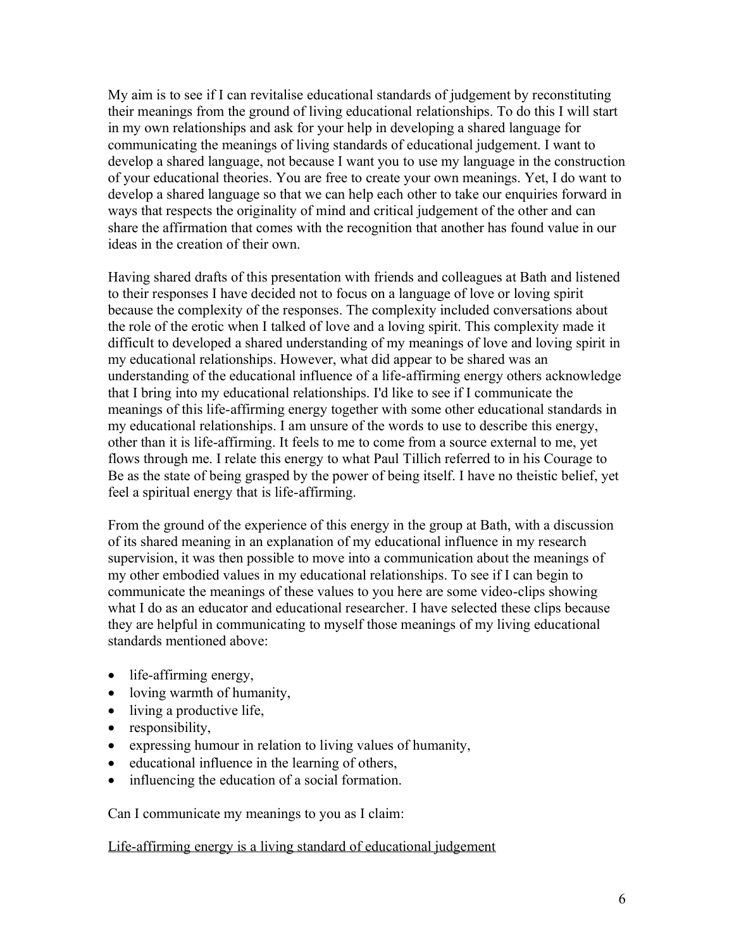My aim is to see if I can revitalise educational standards of judgement by reconstituting their meanings from the ground of living educational relationships. To do this I will start in my own relationships and ask for your help in developing a shared language for communicating the meanings of living standards of educational judgement. I want to develop a shared language, not because I want you to use my language in the construction of your educational theories. You are free to create your own meanings. Yet, I do want to develop a shared language so that we can help each other to take our enquiries forward in ways that respects the originality of mind and critical judgement of the other and can share the affirmation that comes with the recognition that another has found value in our ideas in the creation of their own.

Having shared drafts of this presentation with friends and colleagues at Bath and listened to their responses I have decided not to focus on a language of love or loving spirit because the complexity of the responses. The complexity included conversations about the role of the erotic when I talked of love and a loving spirit. This complexity made it difficult to developed a shared understanding of my meanings of love and loving spirit in my educational relationships. However, what did appear to be shared was an understanding of the educational influence of a life-affirming energy others acknowledge that I bring into my educational relationships. I'd like to see if I communicate the meanings of this life-affirming energy together with some other educational standards in my educational relationships. I am unsure of the words to use to describe this energy, other than it is life-affirming. It feels to me to come from a source external to me, yet flows through me. I relate this energy to what Paul Tillich referred to in his Courage to Be as the state of being grasped by the power of being itself. I have no theistic belief, yet feel a spiritual energy that is life-affirming.

From the ground of the experience of this energy in the group at Bath, with a discussion of its shared meaning in an explanation of my educational influence in my research supervision, it was then possible to move into a communication about the meanings of my other embodied values in my educational relationships. To see if I can begin to communicate the meanings of these values to you here are some video-clips showing what I do as an educator and educational researcher. I have selected these clips because they are helpful in communicating to myself those meanings of my living educational standards mentioned above:

- life-affirming energy,
- loving warmth of humanity,
- living a productive life,
- responsibility,
- expressing humour in relation to living values of humanity,
- educational influence in the learning of others,
- influencing the education of a social formation.

Can I communicate my meanings to you as I claim:

## Life-affirming energy is a living standard of educational judgement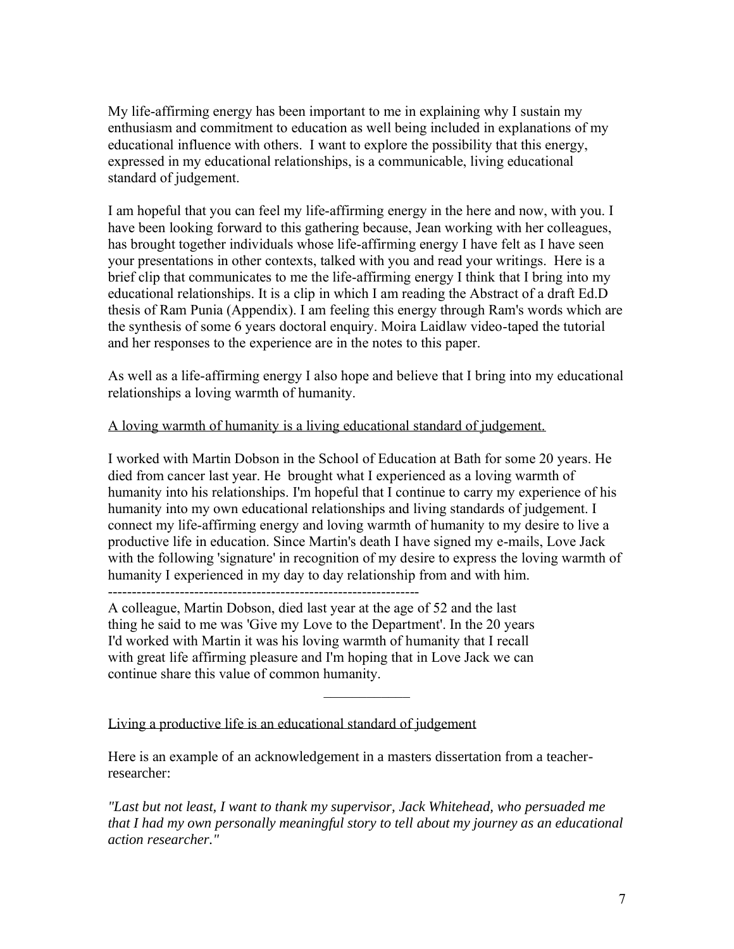My life-affirming energy has been important to me in explaining why I sustain my enthusiasm and commitment to education as well being included in explanations of my educational influence with others. I want to explore the possibility that this energy, expressed in my educational relationships, is a communicable, living educational standard of judgement.

I am hopeful that you can feel my life-affirming energy in the here and now, with you. I have been looking forward to this gathering because, Jean working with her colleagues, has brought together individuals whose life-affirming energy I have felt as I have seen your presentations in other contexts, talked with you and read your writings. Here is a brief clip that communicates to me the life-affirming energy I think that I bring into my educational relationships. It is a clip in which I am reading the Abstract of a draft Ed.D thesis of Ram Punia (Appendix). I am feeling this energy through Ram's words which are the synthesis of some 6 years doctoral enquiry. Moira Laidlaw video-taped the tutorial and her responses to the experience are in the notes to this paper.

As well as a life-affirming energy I also hope and believe that I bring into my educational relationships a loving warmth of humanity.

## A loving warmth of humanity is a living educational standard of judgement.

I worked with Martin Dobson in the School of Education at Bath for some 20 years. He died from cancer last year. He brought what I experienced as a loving warmth of humanity into his relationships. I'm hopeful that I continue to carry my experience of his humanity into my own educational relationships and living standards of judgement. I connect my life-affirming energy and loving warmth of humanity to my desire to live a productive life in education. Since Martin's death I have signed my e-mails, Love Jack with the following 'signature' in recognition of my desire to express the loving warmth of humanity I experienced in my day to day relationship from and with him. -----------------------------------------------------------------

A colleague, Martin Dobson, died last year at the age of 52 and the last thing he said to me was 'Give my Love to the Department'. In the 20 years I'd worked with Martin it was his loving warmth of humanity that I recall with great life affirming pleasure and I'm hoping that in Love Jack we can continue share this value of common humanity.

Living a productive life is an educational standard of judgement

Here is an example of an acknowledgement in a masters dissertation from a teacherresearcher:

*"Last but not least, I want to thank my supervisor, Jack Whitehead, who persuaded me that I had my own personally meaningful story to tell about my journey as an educational action researcher."*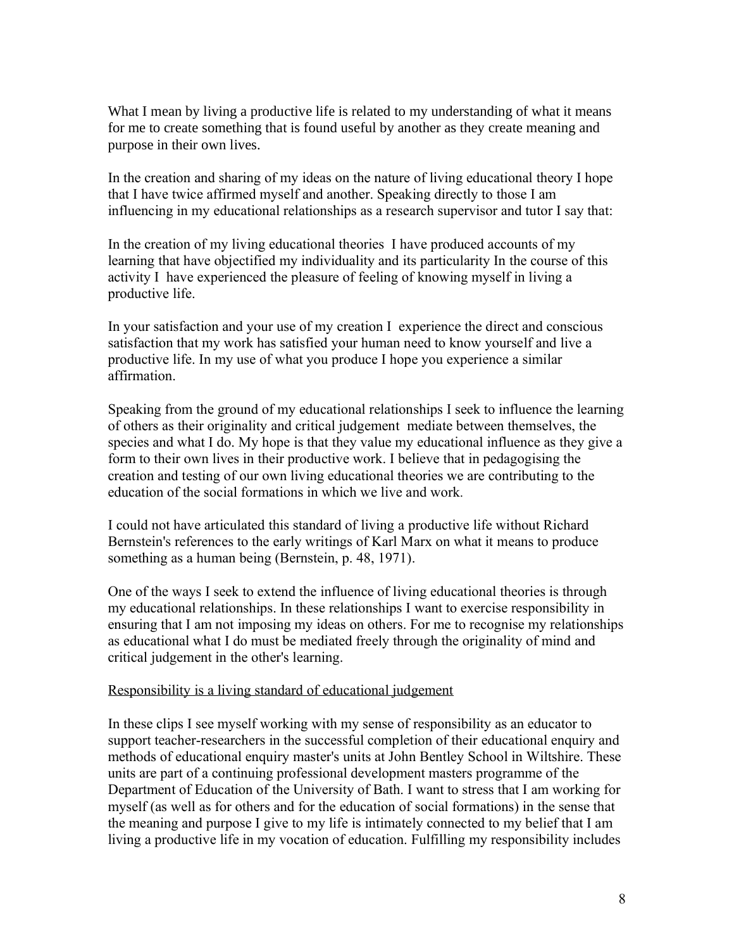What I mean by living a productive life is related to my understanding of what it means for me to create something that is found useful by another as they create meaning and purpose in their own lives.

In the creation and sharing of my ideas on the nature of living educational theory I hope that I have twice affirmed myself and another. Speaking directly to those I am influencing in my educational relationships as a research supervisor and tutor I say that:

In the creation of my living educational theories I have produced accounts of my learning that have objectified my individuality and its particularity In the course of this activity I have experienced the pleasure of feeling of knowing myself in living a productive life.

In your satisfaction and your use of my creation I experience the direct and conscious satisfaction that my work has satisfied your human need to know yourself and live a productive life. In my use of what you produce I hope you experience a similar affirmation.

Speaking from the ground of my educational relationships I seek to influence the learning of others as their originality and critical judgement mediate between themselves, the species and what I do. My hope is that they value my educational influence as they give a form to their own lives in their productive work. I believe that in pedagogising the creation and testing of our own living educational theories we are contributing to the education of the social formations in which we live and work*.* 

I could not have articulated this standard of living a productive life without Richard Bernstein's references to the early writings of Karl Marx on what it means to produce something as a human being (Bernstein, p. 48, 1971).

One of the ways I seek to extend the influence of living educational theories is through my educational relationships. In these relationships I want to exercise responsibility in ensuring that I am not imposing my ideas on others. For me to recognise my relationships as educational what I do must be mediated freely through the originality of mind and critical judgement in the other's learning.

## Responsibility is a living standard of educational judgement

In these clips I see myself working with my sense of responsibility as an educator to support teacher-researchers in the successful completion of their educational enquiry and methods of educational enquiry master's units at John Bentley School in Wiltshire. These units are part of a continuing professional development masters programme of the Department of Education of the University of Bath. I want to stress that I am working for myself (as well as for others and for the education of social formations) in the sense that the meaning and purpose I give to my life is intimately connected to my belief that I am living a productive life in my vocation of education. Fulfilling my responsibility includes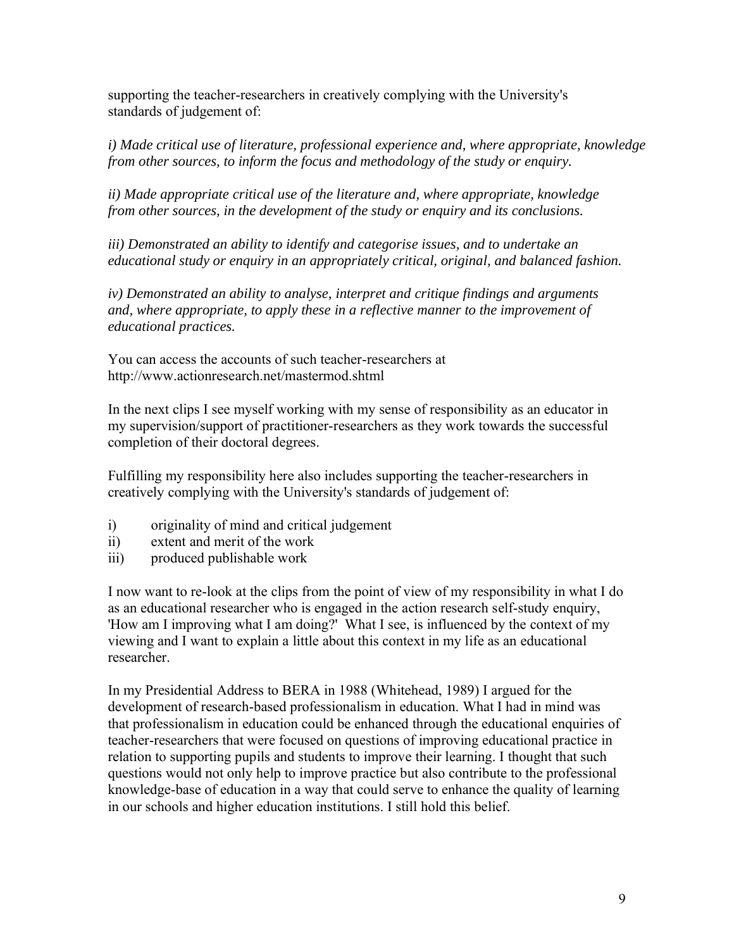supporting the teacher-researchers in creatively complying with the University's standards of judgement of:

*i) Made critical use of literature, professional experience and, where appropriate, knowledge from other sources, to inform the focus and methodology of the study or enquiry.*

*ii) Made appropriate critical use of the literature and, where appropriate, knowledge from other sources, in the development of the study or enquiry and its conclusions.*

*iii) Demonstrated an ability to identify and categorise issues, and to undertake an educational study or enquiry in an appropriately critical, original, and balanced fashion.*

*iv) Demonstrated an ability to analyse, interpret and critique findings and arguments and, where appropriate, to apply these in a reflective manner to the improvement of educational practices.*

You can access the accounts of such teacher-researchers at http://www.actionresearch.net/mastermod.shtml

In the next clips I see myself working with my sense of responsibility as an educator in my supervision/support of practitioner-researchers as they work towards the successful completion of their doctoral degrees.

Fulfilling my responsibility here also includes supporting the teacher-researchers in creatively complying with the University's standards of judgement of:

- i) originality of mind and critical judgement
- ii) extent and merit of the work
- iii) produced publishable work

I now want to re-look at the clips from the point of view of my responsibility in what I do as an educational researcher who is engaged in the action research self-study enquiry, 'How am I improving what I am doing?' What I see, is influenced by the context of my viewing and I want to explain a little about this context in my life as an educational researcher.

In my Presidential Address to BERA in 1988 (Whitehead, 1989) I argued for the development of research-based professionalism in education. What I had in mind was that professionalism in education could be enhanced through the educational enquiries of teacher-researchers that were focused on questions of improving educational practice in relation to supporting pupils and students to improve their learning. I thought that such questions would not only help to improve practice but also contribute to the professional knowledge-base of education in a way that could serve to enhance the quality of learning in our schools and higher education institutions. I still hold this belief.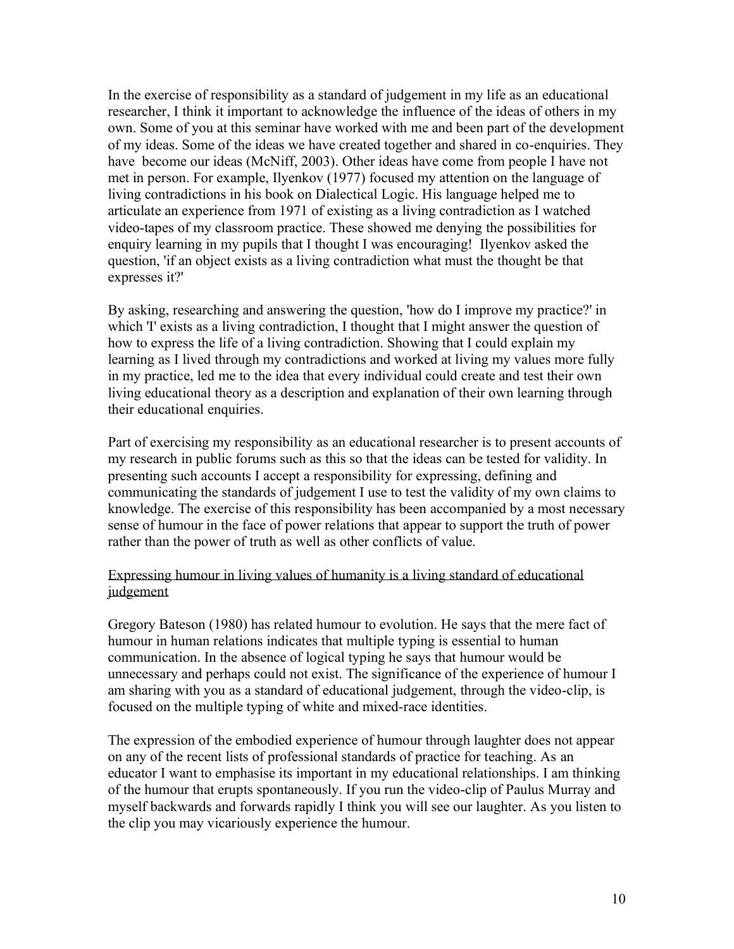In the exercise of responsibility as a standard of judgement in my life as an educational researcher, I think it important to acknowledge the influence of the ideas of others in my own. Some of you at this seminar have worked with me and been part of the development of my ideas. Some of the ideas we have created together and shared in co-enquiries. They have become our ideas (McNiff, 2003). Other ideas have come from people I have not met in person. For example, Ilyenkov (1977) focused my attention on the language of living contradictions in his book on Dialectical Logic. His language helped me to articulate an experience from 1971 of existing as a living contradiction as I watched video-tapes of my classroom practice. These showed me denying the possibilities for enquiry learning in my pupils that I thought I was encouraging! Ilyenkov asked the question, 'if an object exists as a living contradiction what must the thought be that expresses it?'

By asking, researching and answering the question, 'how do I improve my practice?' in which 'I' exists as a living contradiction, I thought that I might answer the question of how to express the life of a living contradiction. Showing that I could explain my learning as I lived through my contradictions and worked at living my values more fully in my practice, led me to the idea that every individual could create and test their own living educational theory as a description and explanation of their own learning through their educational enquiries.

Part of exercising my responsibility as an educational researcher is to present accounts of my research in public forums such as this so that the ideas can be tested for validity. In presenting such accounts I accept a responsibility for expressing, defining and communicating the standards of judgement I use to test the validity of my own claims to knowledge. The exercise of this responsibility has been accompanied by a most necessary sense of humour in the face of power relations that appear to support the truth of power rather than the power of truth as well as other conflicts of value.

# Expressing humour in living values of humanity is a living standard of educational judgement

Gregory Bateson (1980) has related humour to evolution. He says that the mere fact of humour in human relations indicates that multiple typing is essential to human communication. In the absence of logical typing he says that humour would be unnecessary and perhaps could not exist. The significance of the experience of humour I am sharing with you as a standard of educational judgement, through the video-clip, is focused on the multiple typing of white and mixed-race identities.

The expression of the embodied experience of humour through laughter does not appear on any of the recent lists of professional standards of practice for teaching. As an educator I want to emphasise its important in my educational relationships. I am thinking of the humour that erupts spontaneously. If you run the video-clip of Paulus Murray and myself backwards and forwards rapidly I think you will see our laughter. As you listen to the clip you may vicariously experience the humour.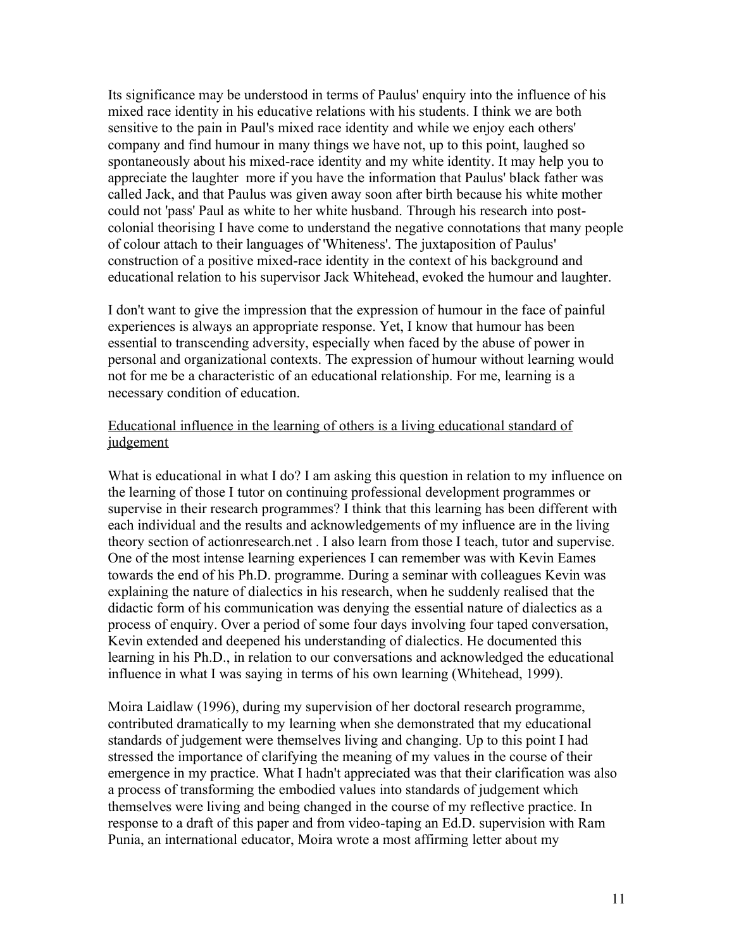Its significance may be understood in terms of Paulus' enquiry into the influence of his mixed race identity in his educative relations with his students. I think we are both sensitive to the pain in Paul's mixed race identity and while we enjoy each others' company and find humour in many things we have not, up to this point, laughed so spontaneously about his mixed-race identity and my white identity. It may help you to appreciate the laughter more if you have the information that Paulus' black father was called Jack, and that Paulus was given away soon after birth because his white mother could not 'pass' Paul as white to her white husband. Through his research into postcolonial theorising I have come to understand the negative connotations that many people of colour attach to their languages of 'Whiteness'. The juxtaposition of Paulus' construction of a positive mixed-race identity in the context of his background and educational relation to his supervisor Jack Whitehead, evoked the humour and laughter.

I don't want to give the impression that the expression of humour in the face of painful experiences is always an appropriate response. Yet, I know that humour has been essential to transcending adversity, especially when faced by the abuse of power in personal and organizational contexts. The expression of humour without learning would not for me be a characteristic of an educational relationship. For me, learning is a necessary condition of education.

## Educational influence in the learning of others is a living educational standard of judgement

What is educational in what I do? I am asking this question in relation to my influence on the learning of those I tutor on continuing professional development programmes or supervise in their research programmes? I think that this learning has been different with each individual and the results and acknowledgements of my influence are in the living theory section of actionresearch.net . I also learn from those I teach, tutor and supervise. One of the most intense learning experiences I can remember was with Kevin Eames towards the end of his Ph.D. programme. During a seminar with colleagues Kevin was explaining the nature of dialectics in his research, when he suddenly realised that the didactic form of his communication was denying the essential nature of dialectics as a process of enquiry. Over a period of some four days involving four taped conversation, Kevin extended and deepened his understanding of dialectics. He documented this learning in his Ph.D., in relation to our conversations and acknowledged the educational influence in what I was saying in terms of his own learning (Whitehead, 1999).

Moira Laidlaw (1996), during my supervision of her doctoral research programme, contributed dramatically to my learning when she demonstrated that my educational standards of judgement were themselves living and changing. Up to this point I had stressed the importance of clarifying the meaning of my values in the course of their emergence in my practice. What I hadn't appreciated was that their clarification was also a process of transforming the embodied values into standards of judgement which themselves were living and being changed in the course of my reflective practice. In response to a draft of this paper and from video-taping an Ed.D. supervision with Ram Punia, an international educator, Moira wrote a most affirming letter about my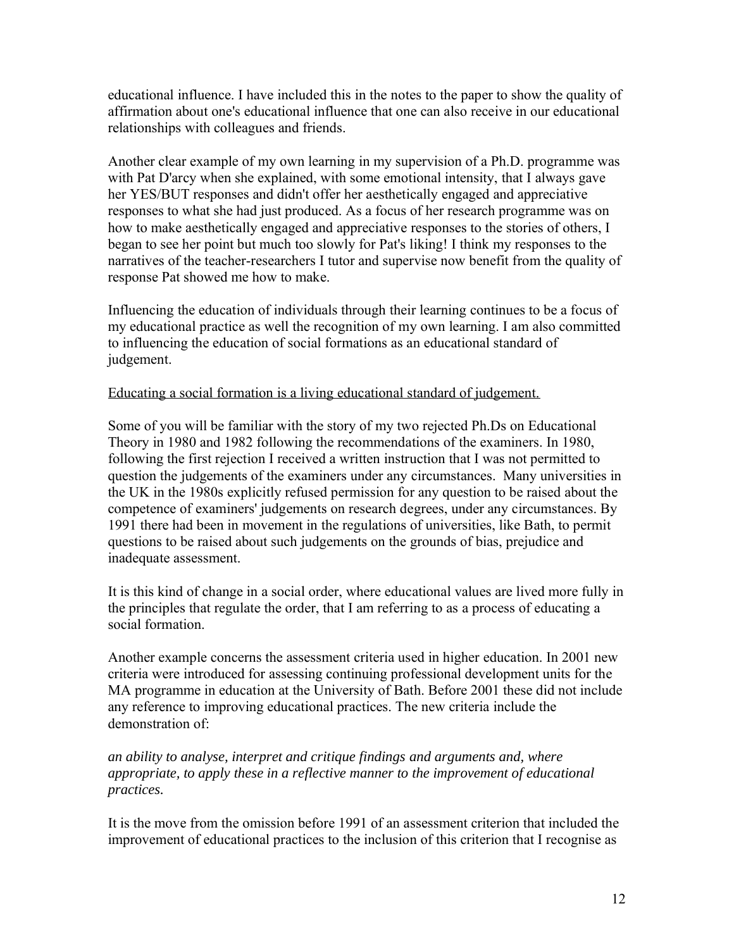educational influence. I have included this in the notes to the paper to show the quality of affirmation about one's educational influence that one can also receive in our educational relationships with colleagues and friends.

Another clear example of my own learning in my supervision of a Ph.D. programme was with Pat D'arcy when she explained, with some emotional intensity, that I always gave her YES/BUT responses and didn't offer her aesthetically engaged and appreciative responses to what she had just produced. As a focus of her research programme was on how to make aesthetically engaged and appreciative responses to the stories of others, I began to see her point but much too slowly for Pat's liking! I think my responses to the narratives of the teacher-researchers I tutor and supervise now benefit from the quality of response Pat showed me how to make.

Influencing the education of individuals through their learning continues to be a focus of my educational practice as well the recognition of my own learning. I am also committed to influencing the education of social formations as an educational standard of judgement.

## Educating a social formation is a living educational standard of judgement.

Some of you will be familiar with the story of my two rejected Ph.Ds on Educational Theory in 1980 and 1982 following the recommendations of the examiners. In 1980, following the first rejection I received a written instruction that I was not permitted to question the judgements of the examiners under any circumstances. Many universities in the UK in the 1980s explicitly refused permission for any question to be raised about the competence of examiners' judgements on research degrees, under any circumstances. By 1991 there had been in movement in the regulations of universities, like Bath, to permit questions to be raised about such judgements on the grounds of bias, prejudice and inadequate assessment.

It is this kind of change in a social order, where educational values are lived more fully in the principles that regulate the order, that I am referring to as a process of educating a social formation.

Another example concerns the assessment criteria used in higher education. In 2001 new criteria were introduced for assessing continuing professional development units for the MA programme in education at the University of Bath. Before 2001 these did not include any reference to improving educational practices. The new criteria include the demonstration of:

*an ability to analyse, interpret and critique findings and arguments and, where appropriate, to apply these in a reflective manner to the improvement of educational practices.*

It is the move from the omission before 1991 of an assessment criterion that included the improvement of educational practices to the inclusion of this criterion that I recognise as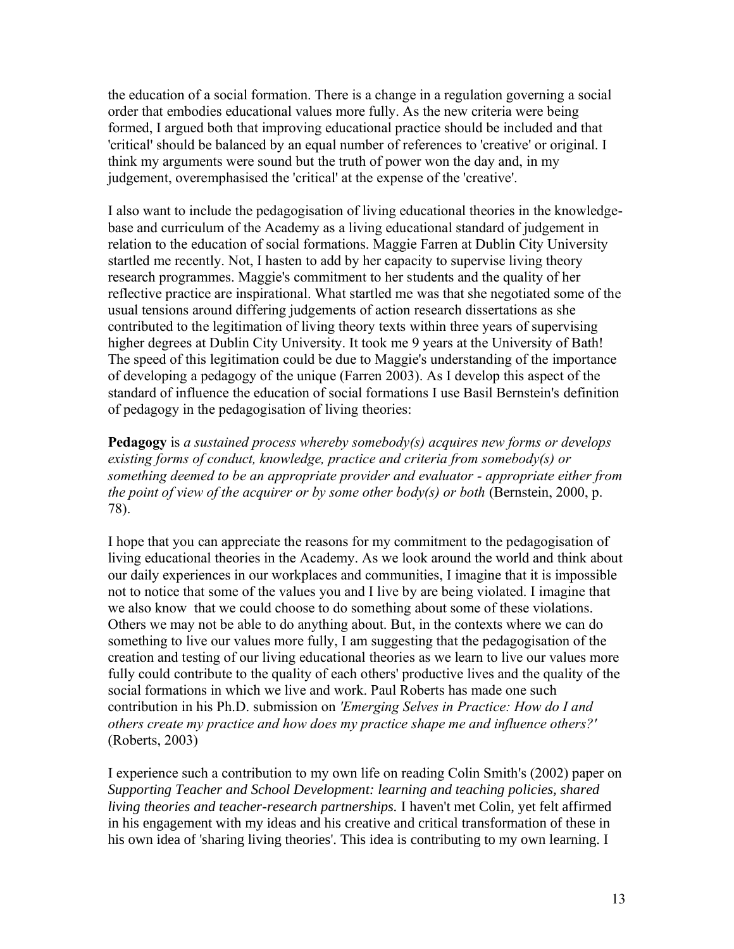the education of a social formation. There is a change in a regulation governing a social order that embodies educational values more fully. As the new criteria were being formed, I argued both that improving educational practice should be included and that 'critical' should be balanced by an equal number of references to 'creative' or original. I think my arguments were sound but the truth of power won the day and, in my judgement, overemphasised the 'critical' at the expense of the 'creative'.

I also want to include the pedagogisation of living educational theories in the knowledgebase and curriculum of the Academy as a living educational standard of judgement in relation to the education of social formations. Maggie Farren at Dublin City University startled me recently. Not, I hasten to add by her capacity to supervise living theory research programmes. Maggie's commitment to her students and the quality of her reflective practice are inspirational. What startled me was that she negotiated some of the usual tensions around differing judgements of action research dissertations as she contributed to the legitimation of living theory texts within three years of supervising higher degrees at Dublin City University. It took me 9 years at the University of Bath! The speed of this legitimation could be due to Maggie's understanding of the importance of developing a pedagogy of the unique (Farren 2003). As I develop this aspect of the standard of influence the education of social formations I use Basil Bernstein's definition of pedagogy in the pedagogisation of living theories:

**Pedagogy** is *a sustained process whereby somebody(s) acquires new forms or develops existing forms of conduct, knowledge, practice and criteria from somebody(s) or something deemed to be an appropriate provider and evaluator - appropriate either from the point of view of the acquirer or by some other body(s) or both* (Bernstein, 2000, p. 78).

I hope that you can appreciate the reasons for my commitment to the pedagogisation of living educational theories in the Academy. As we look around the world and think about our daily experiences in our workplaces and communities, I imagine that it is impossible not to notice that some of the values you and I live by are being violated. I imagine that we also know that we could choose to do something about some of these violations. Others we may not be able to do anything about. But, in the contexts where we can do something to live our values more fully, I am suggesting that the pedagogisation of the creation and testing of our living educational theories as we learn to live our values more fully could contribute to the quality of each others' productive lives and the quality of the social formations in which we live and work. Paul Roberts has made one such contribution in his Ph.D. submission on *'Emerging Selves in Practice: How do I and others create my practice and how does my practice shape me and influence others?'* (Roberts, 2003)

I experience such a contribution to my own life on reading Colin Smith's (2002) paper on *Supporting Teacher and School Development: learning and teaching policies, shared living theories and teacher-research partnerships.* I haven't met Colin, yet felt affirmed in his engagement with my ideas and his creative and critical transformation of these in his own idea of 'sharing living theories'. This idea is contributing to my own learning. I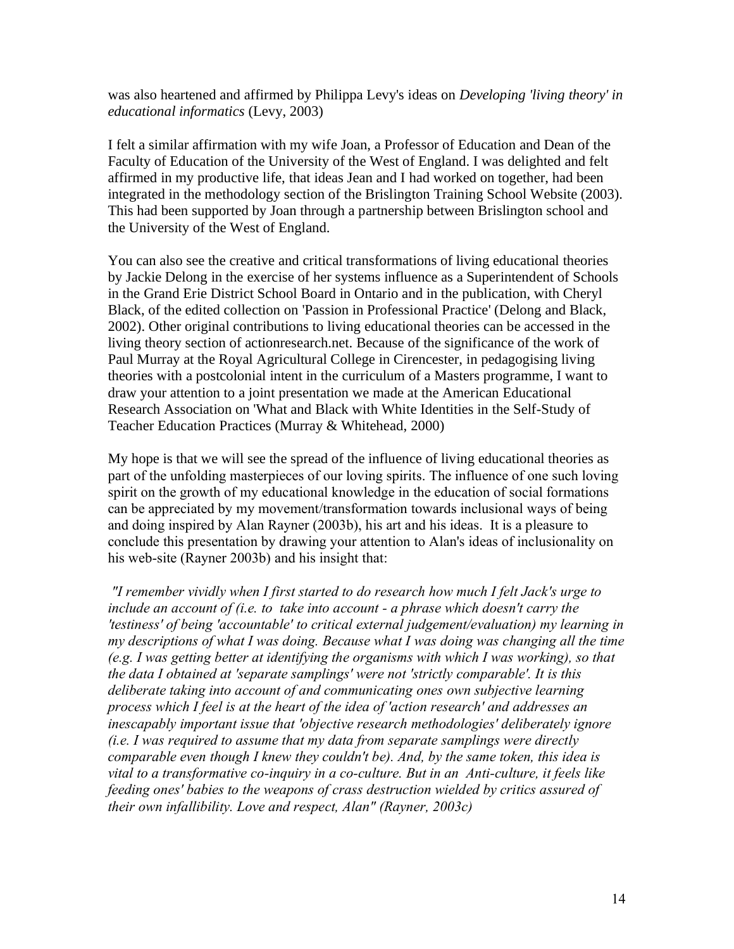was also heartened and affirmed by Philippa Levy's ideas on *Developing 'living theory' in educational informatics* (Levy, 2003)

I felt a similar affirmation with my wife Joan, a Professor of Education and Dean of the Faculty of Education of the University of the West of England. I was delighted and felt affirmed in my productive life, that ideas Jean and I had worked on together, had been integrated in the methodology section of the Brislington Training School Website (2003). This had been supported by Joan through a partnership between Brislington school and the University of the West of England.

You can also see the creative and critical transformations of living educational theories by Jackie Delong in the exercise of her systems influence as a Superintendent of Schools in the Grand Erie District School Board in Ontario and in the publication, with Cheryl Black, of the edited collection on 'Passion in Professional Practice' (Delong and Black, 2002). Other original contributions to living educational theories can be accessed in the living theory section of actionresearch.net. Because of the significance of the work of Paul Murray at the Royal Agricultural College in Cirencester, in pedagogising living theories with a postcolonial intent in the curriculum of a Masters programme, I want to draw your attention to a joint presentation we made at the American Educational Research Association on 'What and Black with White Identities in the Self-Study of Teacher Education Practices (Murray & Whitehead, 2000)

My hope is that we will see the spread of the influence of living educational theories as part of the unfolding masterpieces of our loving spirits. The influence of one such loving spirit on the growth of my educational knowledge in the education of social formations can be appreciated by my movement/transformation towards inclusional ways of being and doing inspired by Alan Rayner (2003b), his art and his ideas. It is a pleasure to conclude this presentation by drawing your attention to Alan's ideas of inclusionality on his web-site (Rayner 2003b) and his insight that:

*"I remember vividly when I first started to do research how much I felt Jack's urge to include an account of (i.e. to take into account - a phrase which doesn't carry the 'testiness' of being 'accountable' to critical external judgement/evaluation) my learning in my descriptions of what I was doing. Because what I was doing was changing all the time (e.g. I was getting better at identifying the organisms with which I was working), so that the data I obtained at 'separate samplings' were not 'strictly comparable'. It is this deliberate taking into account of and communicating ones own subjective learning process which I feel is at the heart of the idea of 'action research' and addresses an inescapably important issue that 'objective research methodologies' deliberately ignore (i.e. I was required to assume that my data from separate samplings were directly comparable even though I knew they couldn't be). And, by the same token, this idea is vital to a transformative co-inquiry in a co-culture. But in an Anti-culture, it feels like feeding ones' babies to the weapons of crass destruction wielded by critics assured of their own infallibility. Love and respect, Alan" (Rayner, 2003c)*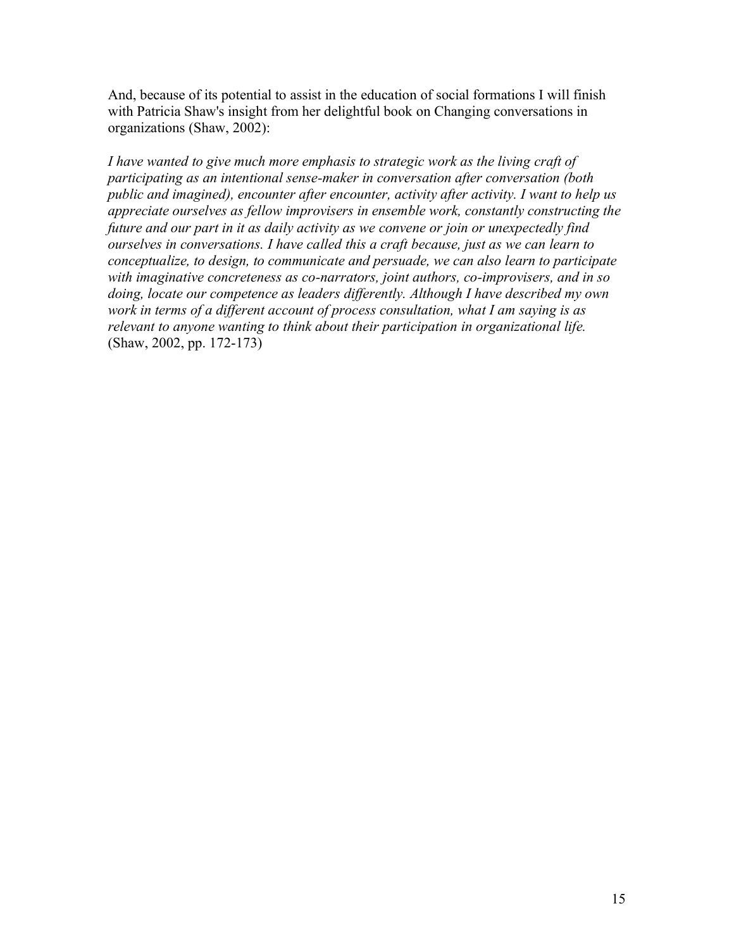And, because of its potential to assist in the education of social formations I will finish with Patricia Shaw's insight from her delightful book on Changing conversations in organizations (Shaw, 2002):

*I have wanted to give much more emphasis to strategic work as the living craft of participating as an intentional sense-maker in conversation after conversation (both public and imagined), encounter after encounter, activity after activity. I want to help us appreciate ourselves as fellow improvisers in ensemble work, constantly constructing the future and our part in it as daily activity as we convene or join or unexpectedly find ourselves in conversations. I have called this a craft because, just as we can learn to conceptualize, to design, to communicate and persuade, we can also learn to participate with imaginative concreteness as co-narrators, joint authors, co-improvisers, and in so doing, locate our competence as leaders differently. Although I have described my own work in terms of a different account of process consultation, what I am saying is as relevant to anyone wanting to think about their participation in organizational life.* (Shaw, 2002, pp. 172-173)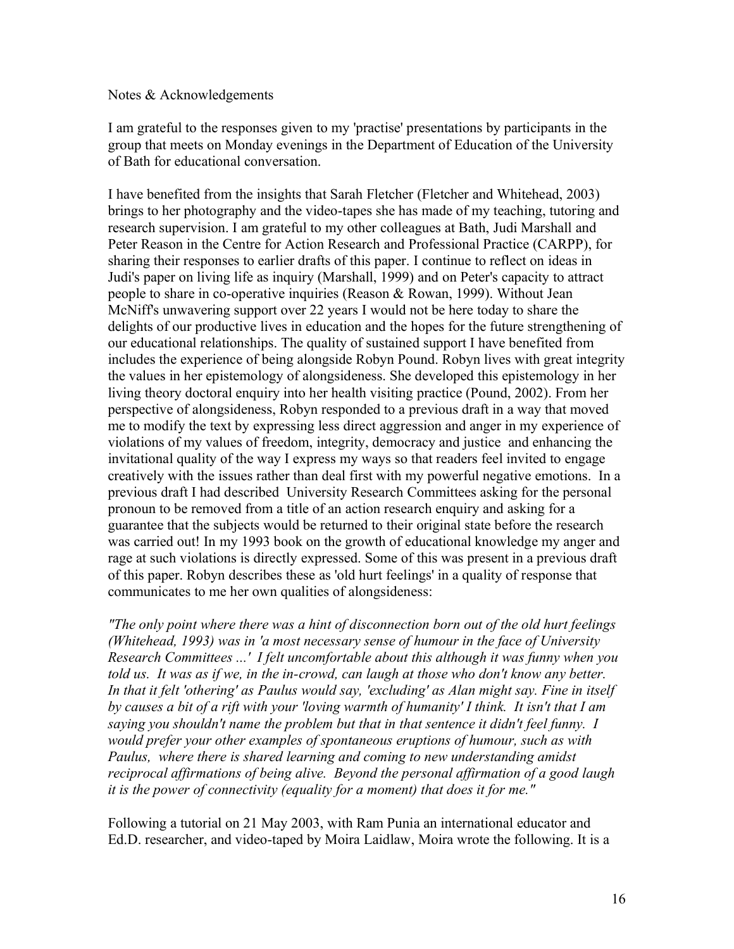#### Notes & Acknowledgements

I am grateful to the responses given to my 'practise' presentations by participants in the group that meets on Monday evenings in the Department of Education of the University of Bath for educational conversation.

I have benefited from the insights that Sarah Fletcher (Fletcher and Whitehead, 2003) brings to her photography and the video-tapes she has made of my teaching, tutoring and research supervision. I am grateful to my other colleagues at Bath, Judi Marshall and Peter Reason in the Centre for Action Research and Professional Practice (CARPP), for sharing their responses to earlier drafts of this paper. I continue to reflect on ideas in Judi's paper on living life as inquiry (Marshall, 1999) and on Peter's capacity to attract people to share in co-operative inquiries (Reason & Rowan, 1999). Without Jean McNiff's unwavering support over 22 years I would not be here today to share the delights of our productive lives in education and the hopes for the future strengthening of our educational relationships. The quality of sustained support I have benefited from includes the experience of being alongside Robyn Pound. Robyn lives with great integrity the values in her epistemology of alongsideness. She developed this epistemology in her living theory doctoral enquiry into her health visiting practice (Pound, 2002). From her perspective of alongsideness, Robyn responded to a previous draft in a way that moved me to modify the text by expressing less direct aggression and anger in my experience of violations of my values of freedom, integrity, democracy and justice and enhancing the invitational quality of the way I express my ways so that readers feel invited to engage creatively with the issues rather than deal first with my powerful negative emotions. In a previous draft I had described University Research Committees asking for the personal pronoun to be removed from a title of an action research enquiry and asking for a guarantee that the subjects would be returned to their original state before the research was carried out! In my 1993 book on the growth of educational knowledge my anger and rage at such violations is directly expressed. Some of this was present in a previous draft of this paper. Robyn describes these as 'old hurt feelings' in a quality of response that communicates to me her own qualities of alongsideness:

*"The only point where there was a hint of disconnection born out of the old hurt feelings (Whitehead, 1993) was in 'a most necessary sense of humour in the face of University Research Committees ...' I felt uncomfortable about this although it was funny when you*  told us. It was as if we, in the in-crowd, can laugh at those who don't know any better. *In that it felt 'othering' as Paulus would say, 'excluding' as Alan might say. Fine in itself by causes a bit of a rift with your 'loving warmth of humanity' I think. It isn't that I am saying you shouldn't name the problem but that in that sentence it didn't feel funny. I would prefer your other examples of spontaneous eruptions of humour, such as with Paulus, where there is shared learning and coming to new understanding amidst reciprocal affirmations of being alive. Beyond the personal affirmation of a good laugh it is the power of connectivity (equality for a moment) that does it for me."*

Following a tutorial on 21 May 2003, with Ram Punia an international educator and Ed.D. researcher, and video-taped by Moira Laidlaw, Moira wrote the following. It is a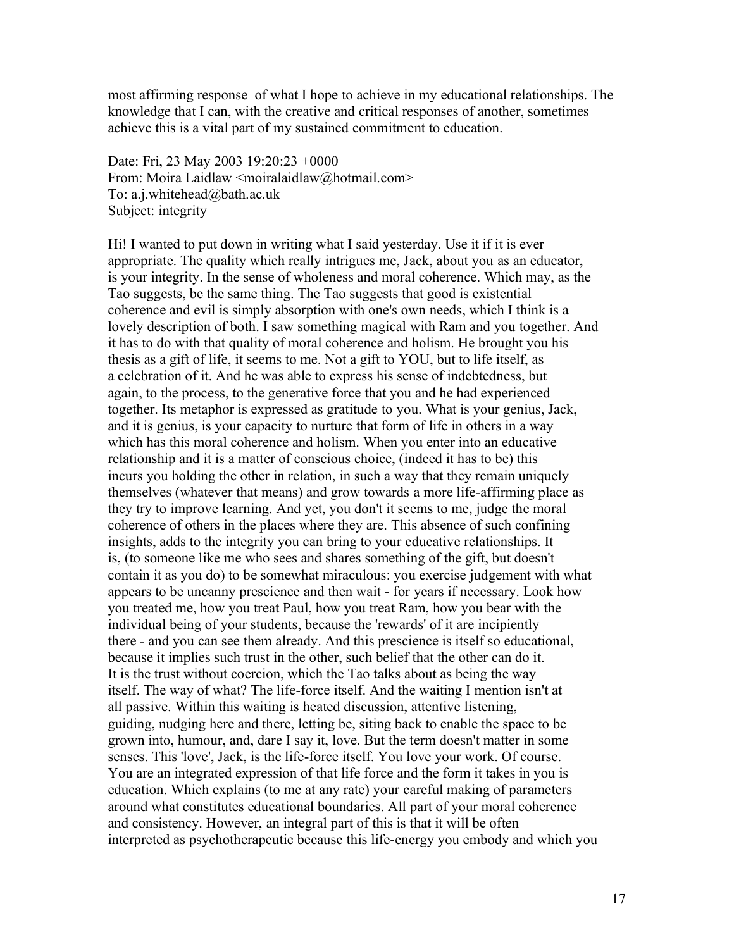most affirming response of what I hope to achieve in my educational relationships. The knowledge that I can, with the creative and critical responses of another, sometimes achieve this is a vital part of my sustained commitment to education.

Date: Fri, 23 May 2003 19:20:23 +0000 From: Moira Laidlaw <moiralaidlaw@hotmail.com> To: a.j.whitehead@bath.ac.uk Subject: integrity

Hi! I wanted to put down in writing what I said yesterday. Use it if it is ever appropriate. The quality which really intrigues me, Jack, about you as an educator, is your integrity. In the sense of wholeness and moral coherence. Which may, as the Tao suggests, be the same thing. The Tao suggests that good is existential coherence and evil is simply absorption with one's own needs, which I think is a lovely description of both. I saw something magical with Ram and you together. And it has to do with that quality of moral coherence and holism. He brought you his thesis as a gift of life, it seems to me. Not a gift to YOU, but to life itself, as a celebration of it. And he was able to express his sense of indebtedness, but again, to the process, to the generative force that you and he had experienced together. Its metaphor is expressed as gratitude to you. What is your genius, Jack, and it is genius, is your capacity to nurture that form of life in others in a way which has this moral coherence and holism. When you enter into an educative relationship and it is a matter of conscious choice, (indeed it has to be) this incurs you holding the other in relation, in such a way that they remain uniquely themselves (whatever that means) and grow towards a more life-affirming place as they try to improve learning. And yet, you don't it seems to me, judge the moral coherence of others in the places where they are. This absence of such confining insights, adds to the integrity you can bring to your educative relationships. It is, (to someone like me who sees and shares something of the gift, but doesn't contain it as you do) to be somewhat miraculous: you exercise judgement with what appears to be uncanny prescience and then wait - for years if necessary. Look how you treated me, how you treat Paul, how you treat Ram, how you bear with the individual being of your students, because the 'rewards' of it are incipiently there - and you can see them already. And this prescience is itself so educational, because it implies such trust in the other, such belief that the other can do it. It is the trust without coercion, which the Tao talks about as being the way itself. The way of what? The life-force itself. And the waiting I mention isn't at all passive. Within this waiting is heated discussion, attentive listening, guiding, nudging here and there, letting be, siting back to enable the space to be grown into, humour, and, dare I say it, love. But the term doesn't matter in some senses. This 'love', Jack, is the life-force itself. You love your work. Of course. You are an integrated expression of that life force and the form it takes in you is education. Which explains (to me at any rate) your careful making of parameters around what constitutes educational boundaries. All part of your moral coherence and consistency. However, an integral part of this is that it will be often interpreted as psychotherapeutic because this life-energy you embody and which you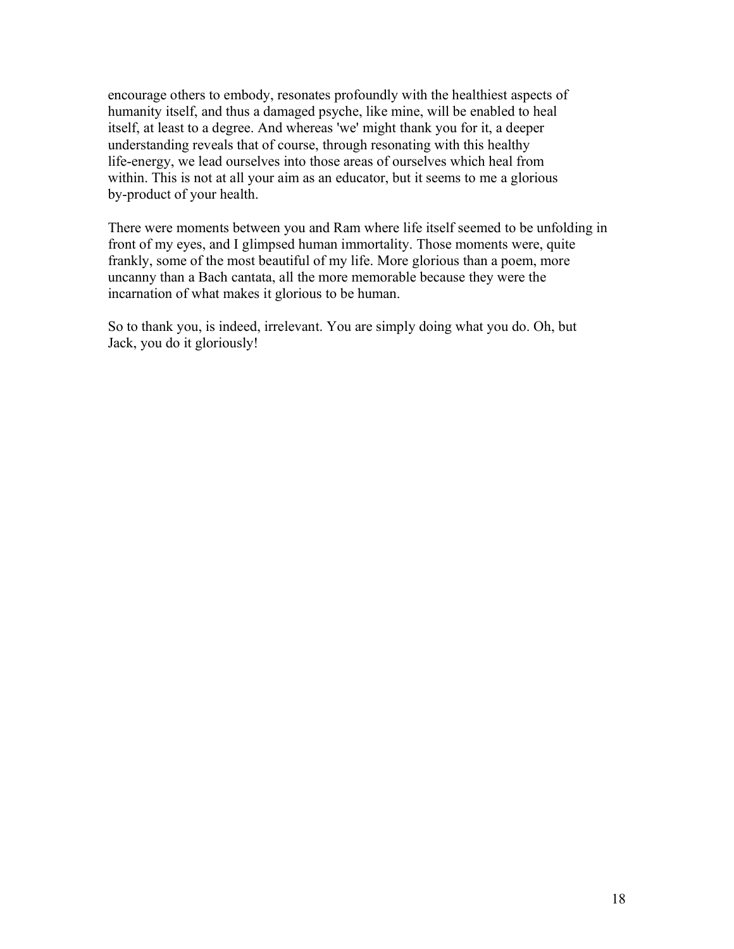encourage others to embody, resonates profoundly with the healthiest aspects of humanity itself, and thus a damaged psyche, like mine, will be enabled to heal itself, at least to a degree. And whereas 'we' might thank you for it, a deeper understanding reveals that of course, through resonating with this healthy life-energy, we lead ourselves into those areas of ourselves which heal from within. This is not at all your aim as an educator, but it seems to me a glorious by-product of your health.

There were moments between you and Ram where life itself seemed to be unfolding in front of my eyes, and I glimpsed human immortality. Those moments were, quite frankly, some of the most beautiful of my life. More glorious than a poem, more uncanny than a Bach cantata, all the more memorable because they were the incarnation of what makes it glorious to be human.

So to thank you, is indeed, irrelevant. You are simply doing what you do. Oh, but Jack, you do it gloriously!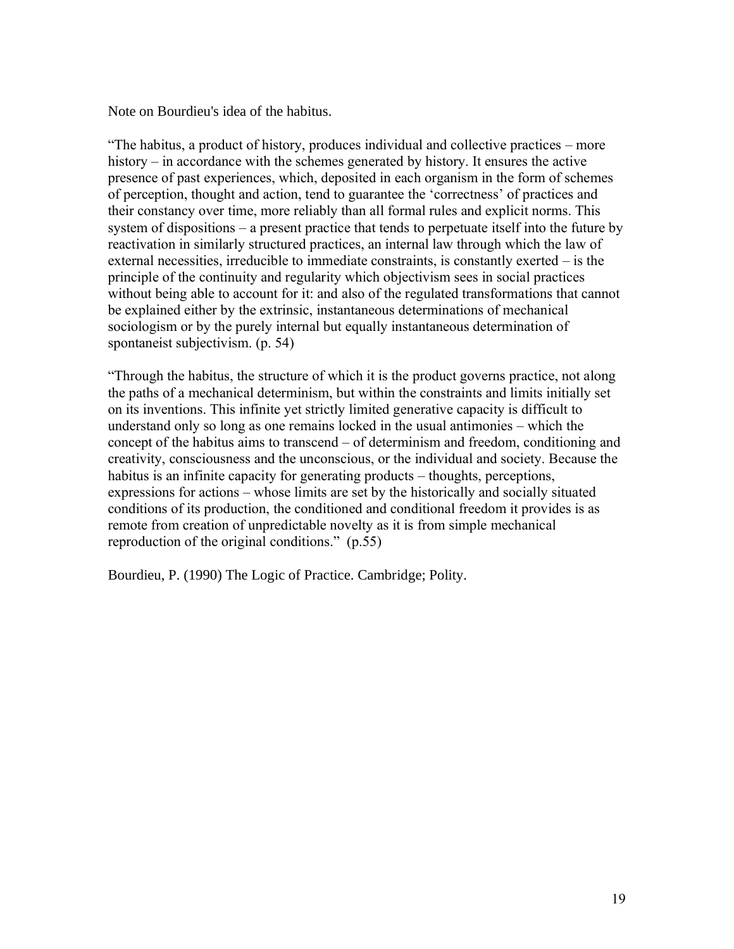Note on Bourdieu's idea of the habitus.

"The habitus, a product of history, produces individual and collective practices – more history – in accordance with the schemes generated by history. It ensures the active presence of past experiences, which, deposited in each organism in the form of schemes of perception, thought and action, tend to guarantee the 'correctness' of practices and their constancy over time, more reliably than all formal rules and explicit norms. This system of dispositions – a present practice that tends to perpetuate itself into the future by reactivation in similarly structured practices, an internal law through which the law of external necessities, irreducible to immediate constraints, is constantly exerted – is the principle of the continuity and regularity which objectivism sees in social practices without being able to account for it: and also of the regulated transformations that cannot be explained either by the extrinsic, instantaneous determinations of mechanical sociologism or by the purely internal but equally instantaneous determination of spontaneist subjectivism. (p. 54)

"Through the habitus, the structure of which it is the product governs practice, not along the paths of a mechanical determinism, but within the constraints and limits initially set on its inventions. This infinite yet strictly limited generative capacity is difficult to understand only so long as one remains locked in the usual antimonies – which the concept of the habitus aims to transcend – of determinism and freedom, conditioning and creativity, consciousness and the unconscious, or the individual and society. Because the habitus is an infinite capacity for generating products – thoughts, perceptions, expressions for actions – whose limits are set by the historically and socially situated conditions of its production, the conditioned and conditional freedom it provides is as remote from creation of unpredictable novelty as it is from simple mechanical reproduction of the original conditions." (p.55)

Bourdieu, P. (1990) The Logic of Practice. Cambridge; Polity.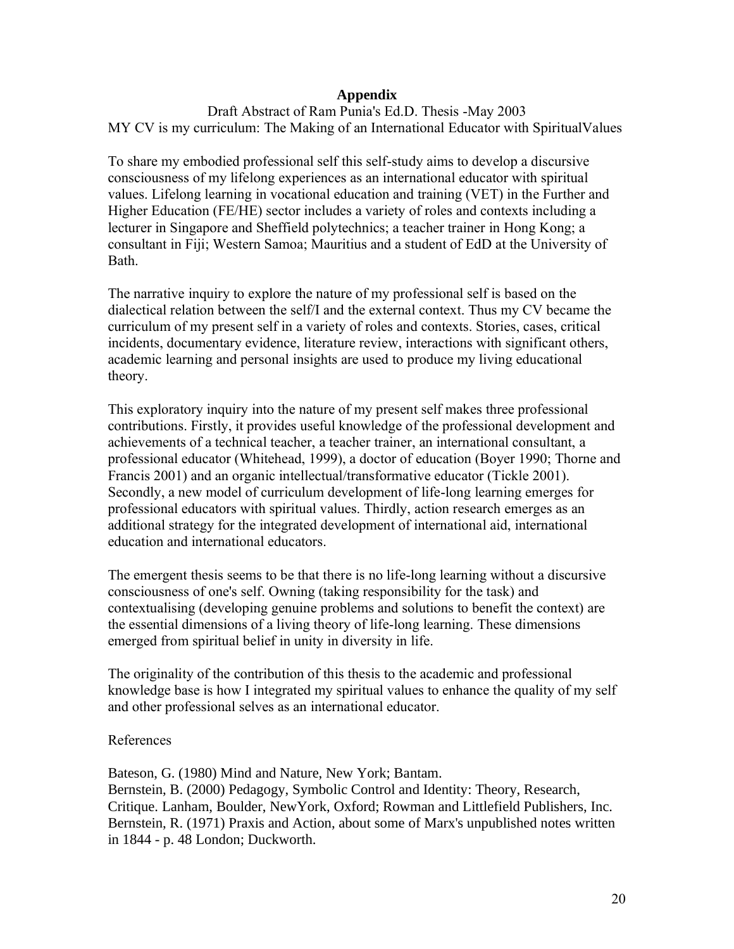## **Appendix**

Draft Abstract of Ram Punia's Ed.D. Thesis -May 2003 MY CV is my curriculum: The Making of an International Educator with SpiritualValues

To share my embodied professional self this self-study aims to develop a discursive consciousness of my lifelong experiences as an international educator with spiritual values. Lifelong learning in vocational education and training (VET) in the Further and Higher Education (FE/HE) sector includes a variety of roles and contexts including a lecturer in Singapore and Sheffield polytechnics; a teacher trainer in Hong Kong; a consultant in Fiji; Western Samoa; Mauritius and a student of EdD at the University of Bath.

The narrative inquiry to explore the nature of my professional self is based on the dialectical relation between the self/I and the external context. Thus my CV became the curriculum of my present self in a variety of roles and contexts. Stories, cases, critical incidents, documentary evidence, literature review, interactions with significant others, academic learning and personal insights are used to produce my living educational theory.

This exploratory inquiry into the nature of my present self makes three professional contributions. Firstly, it provides useful knowledge of the professional development and achievements of a technical teacher, a teacher trainer, an international consultant, a professional educator (Whitehead, 1999), a doctor of education (Boyer 1990; Thorne and Francis 2001) and an organic intellectual/transformative educator (Tickle 2001). Secondly, a new model of curriculum development of life-long learning emerges for professional educators with spiritual values. Thirdly, action research emerges as an additional strategy for the integrated development of international aid, international education and international educators.

The emergent thesis seems to be that there is no life-long learning without a discursive consciousness of one's self. Owning (taking responsibility for the task) and contextualising (developing genuine problems and solutions to benefit the context) are the essential dimensions of a living theory of life-long learning. These dimensions emerged from spiritual belief in unity in diversity in life.

The originality of the contribution of this thesis to the academic and professional knowledge base is how I integrated my spiritual values to enhance the quality of my self and other professional selves as an international educator.

## References

Bateson, G. (1980) Mind and Nature, New York; Bantam.

Bernstein, B. (2000) Pedagogy, Symbolic Control and Identity: Theory, Research, Critique. Lanham, Boulder, NewYork, Oxford; Rowman and Littlefield Publishers, Inc. Bernstein, R. (1971) Praxis and Action, about some of Marx's unpublished notes written in 1844 - p. 48 London; Duckworth.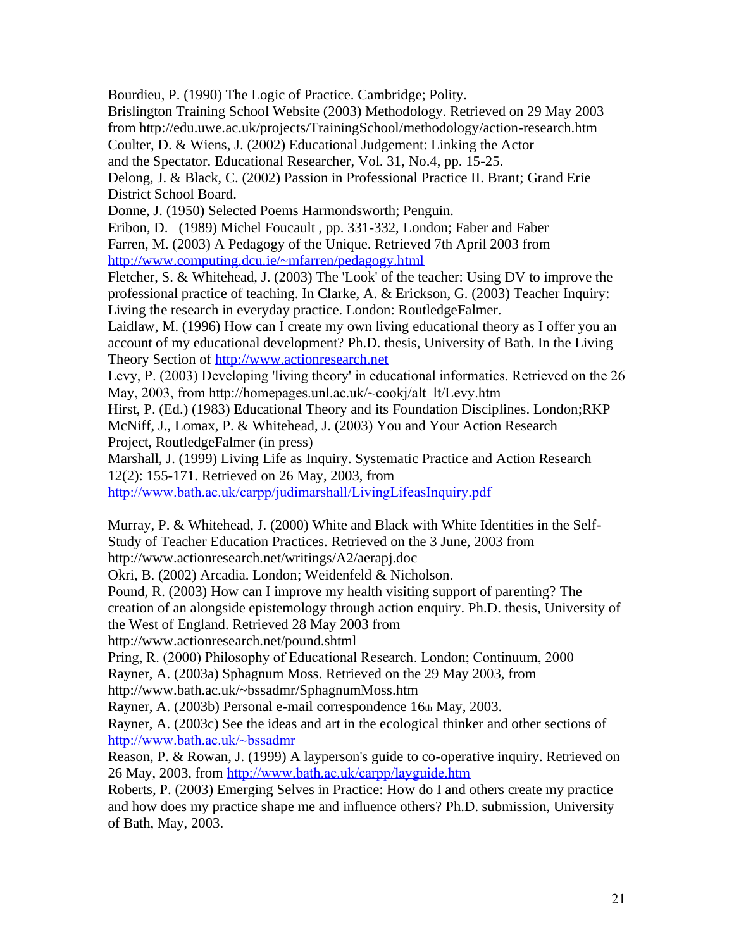Bourdieu, P. (1990) The Logic of Practice. Cambridge; Polity.

Brislington Training School Website (2003) Methodology. Retrieved on 29 May 2003 from http://edu.uwe.ac.uk/projects/TrainingSchool/methodology/action-research.htm Coulter, D. & Wiens, J. (2002) Educational Judgement: Linking the Actor

and the Spectator. Educational Researcher, Vol. 31, No.4, pp. 15-25.

Delong, J. & Black, C. (2002) Passion in Professional Practice II. Brant; Grand Erie District School Board.

Donne, J. (1950) Selected Poems Harmondsworth; Penguin.

Eribon, D. (1989) Michel Foucault , pp. 331-332, London; Faber and Faber Farren, M. (2003) A Pedagogy of the Unique. Retrieved 7th April 2003 from <http://www.computing.dcu.ie/~mfarren/pedagogy.html>

Fletcher, S. & Whitehead, J. (2003) The 'Look' of the teacher: Using DV to improve the professional practice of teaching. In Clarke, A. & Erickson, G. (2003) Teacher Inquiry: Living the research in everyday practice. London: RoutledgeFalmer.

Laidlaw*,* M. (1996) How can I create my own living educational theory as I offer you an account of my educational development? Ph.D. thesis, University of Bath. In the Living Theory Section of [http://www.actionresearch.net](http://www.actionresearch.net/)

Levy, P. (2003) Developing 'living theory' in educational informatics. Retrieved on the 26 May, 2003, from http://homepages.unl.ac.uk/~cookj/alt\_lt/Levy.htm

Hirst, P. (Ed.) (1983) Educational Theory and its Foundation Disciplines. London;RKP McNiff, J., Lomax, P. & Whitehead, J. (2003) You and Your Action Research Project, RoutledgeFalmer (in press)

Marshall, J. (1999) Living Life as Inquiry. Systematic Practice and Action Research 12(2): 155-171. Retrieved on 26 May, 2003, from

<http://www.bath.ac.uk/carpp/judimarshall/LivingLifeasInquiry.pdf>

Murray, P. & Whitehead, J. (2000) White and Black with White Identities in the Self-Study of Teacher Education Practices. Retrieved on the 3 June, 2003 from

http://www.actionresearch.net/writings/A2/aerapj.doc

Okri, B. (2002) Arcadia. London; Weidenfeld & Nicholson.

Pound, R. (2003) How can I improve my health visiting support of parenting? The creation of an alongside epistemology through action enquiry. Ph.D. thesis, University of the West of England. Retrieved 28 May 2003 from

http://www.actionresearch.net/pound.shtml

Pring, R. (2000) Philosophy of Educational Research. London; Continuum, 2000 Rayner, A. (2003a) Sphagnum Moss. Retrieved on the 29 May 2003, from

http://www.bath.ac.uk/~bssadmr/SphagnumMoss.htm

Rayner, A. (2003b) Personal e-mail correspondence 16th May, 2003.

Rayner, A. (2003c) See the ideas and art in the ecological thinker and other sections of <http://www.bath.ac.uk/~bssadmr>

Reason, P. & Rowan, J. (1999) A layperson's guide to co-operative inquiry. Retrieved on 26 May, 2003, from <http://www.bath.ac.uk/carpp/layguide.htm>

Roberts, P. (2003) Emerging Selves in Practice: How do I and others create my practice and how does my practice shape me and influence others? Ph.D. submission, University of Bath, May, 2003.